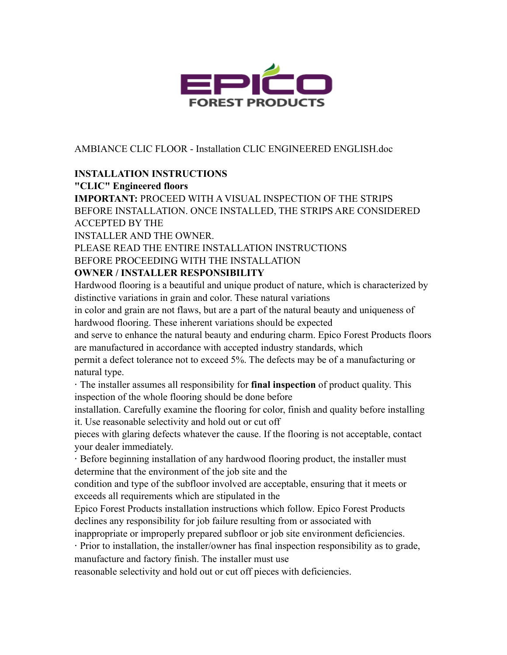

AMBIANCE CLIC FLOOR - Installation CLIC ENGINEERED ENGLISH.doc

### **INSTALLATION INSTRUCTIONS**

#### **"CLIC" Engineered floors**

**IMPORTANT:** PROCEED WITH A VISUAL INSPECTION OF THE STRIPS BEFORE INSTALLATION. ONCE INSTALLED, THE STRIPS ARE CONSIDERED ACCEPTED BY THE

INSTALLER AND THE OWNER.

PLEASE READ THE ENTIRE INSTALLATION INSTRUCTIONS

### BEFORE PROCEEDING WITH THE INSTALLATION

### **OWNER / INSTALLER RESPONSIBILITY**

Hardwood flooring is a beautiful and unique product of nature, which is characterized by distinctive variations in grain and color. These natural variations

in color and grain are not flaws, but are a part of the natural beauty and uniqueness of hardwood flooring. These inherent variations should be expected

and serve to enhance the natural beauty and enduring charm. Epico Forest Products floors are manufactured in accordance with accepted industry standards, which

permit a defect tolerance not to exceed 5%. The defects may be of a manufacturing or natural type.

· The installer assumes all responsibility for **final inspection** of product quality. This inspection of the whole flooring should be done before

installation. Carefully examine the flooring for color, finish and quality before installing it. Use reasonable selectivity and hold out or cut off

pieces with glaring defects whatever the cause. If the flooring is not acceptable, contact your dealer immediately.

· Before beginning installation of any hardwood flooring product, the installer must determine that the environment of the job site and the

condition and type of the subfloor involved are acceptable, ensuring that it meets or exceeds all requirements which are stipulated in the

Epico Forest Products installation instructions which follow. Epico Forest Products declines any responsibility for job failure resulting from or associated with

inappropriate or improperly prepared subfloor or job site environment deficiencies.

· Prior to installation, the installer/owner has final inspection responsibility as to grade, manufacture and factory finish. The installer must use

reasonable selectivity and hold out or cut off pieces with deficiencies.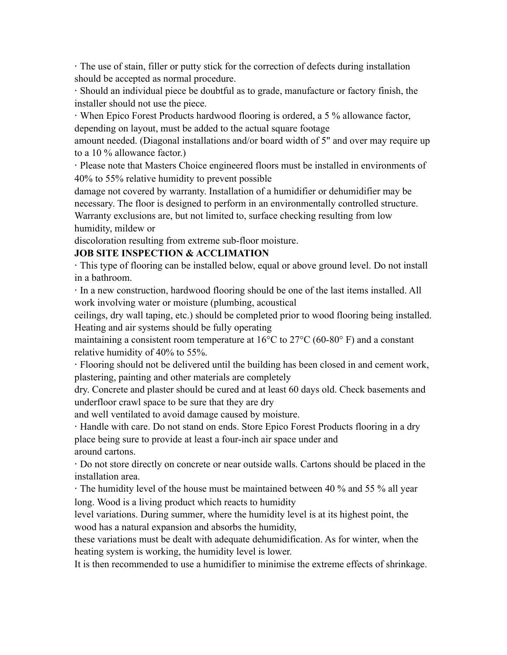· The use of stain, filler or putty stick for the correction of defects during installation should be accepted as normal procedure.

· Should an individual piece be doubtful as to grade, manufacture or factory finish, the installer should not use the piece.

· When Epico Forest Products hardwood flooring is ordered, a 5 % allowance factor, depending on layout, must be added to the actual square footage

amount needed. (Diagonal installations and/or board width of 5" and over may require up to a 10 % allowance factor.)

· Please note that Masters Choice engineered floors must be installed in environments of 40% to 55% relative humidity to prevent possible

damage not covered by warranty. Installation of a humidifier or dehumidifier may be necessary. The floor is designed to perform in an environmentally controlled structure. Warranty exclusions are, but not limited to, surface checking resulting from low humidity, mildew or

discoloration resulting from extreme sub-floor moisture.

### **JOB SITE INSPECTION & ACCLIMATION**

· This type of flooring can be installed below, equal or above ground level. Do not install in a bathroom.

· In a new construction, hardwood flooring should be one of the last items installed. All work involving water or moisture (plumbing, acoustical

ceilings, dry wall taping, etc.) should be completed prior to wood flooring being installed. Heating and air systems should be fully operating

maintaining a consistent room temperature at 16°C to 27°C (60-80° F) and a constant relative humidity of 40% to 55%.

· Flooring should not be delivered until the building has been closed in and cement work, plastering, painting and other materials are completely

dry. Concrete and plaster should be cured and at least 60 days old. Check basements and underfloor crawl space to be sure that they are dry

and well ventilated to avoid damage caused by moisture.

· Handle with care. Do not stand on ends. Store Epico Forest Products flooring in a dry place being sure to provide at least a four-inch air space under and around cartons.

· Do not store directly on concrete or near outside walls. Cartons should be placed in the installation area.

· The humidity level of the house must be maintained between 40 % and 55 % all year long. Wood is a living product which reacts to humidity

level variations. During summer, where the humidity level is at its highest point, the wood has a natural expansion and absorbs the humidity,

these variations must be dealt with adequate dehumidification. As for winter, when the heating system is working, the humidity level is lower.

It is then recommended to use a humidifier to minimise the extreme effects of shrinkage.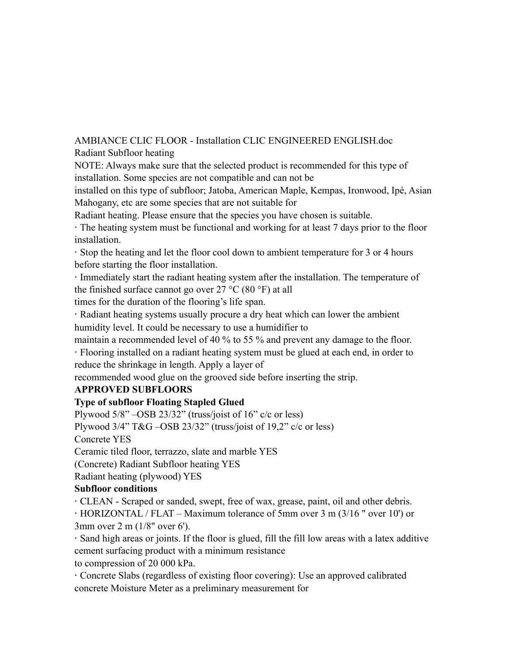AMBIANCE CLIC FLOOR - Installation CLIC ENGINEERED ENGLISH.doc Radiant Subfloor heating

NOTE: Always make sure that the selected product is recommended for this type of installation. Some species are not compatible and can not be

installed on this type of subfloor; Jatoba, American Maple, Kempas, Ironwood, Ipé, Asian Mahogany, etc are some species that are not suitable for

Radiant heating. Please ensure that the species you have chosen is suitable.

· The heating system must be functional and working for at least 7 days prior to the floor installation.

· Stop the heating and let the floor cool down to ambient temperature for 3 or 4 hours before starting the floor installation.

· Immediately start the radiant heating system after the installation. The temperature of the finished surface cannot go over  $27 \degree C$  (80  $\degree F$ ) at all

times for the duration of the flooring's life span.

· Radiant heating systems usually procure a dry heat which can lower the ambient humidity level. It could be necessary to use a humidifier to

maintain a recommended level of 40 % to 55 % and prevent any damage to the floor.

· Flooring installed on a radiant heating system must be glued at each end, in order to reduce the shrinkage in length. Apply a layer of

recommended wood glue on the grooved side before inserting the strip.

### **APPROVED SUBFLOORS**

### **Type of subfloor Floating Stapled Glued**

Plywood  $5/8$ " –OSB 23/32" (truss/joist of 16" c/c or less) Plywood 3/4" T&G –OSB 23/32" (truss/joist of 19,2" c/c or less) Concrete YES Ceramic tiled floor, terrazzo, slate and marble YES (Concrete) Radiant Subfloor heating YES

Radiant heating (plywood) YES

### **Subfloor conditions**

· CLEAN - Scraped or sanded, swept, free of wax, grease, paint, oil and other debris.

· HORIZONTAL / FLAT – Maximum tolerance of 5mm over 3 m (3/16 " over 10') or 3mm over 2 m (1/8" over 6').

· Sand high areas or joints. If the floor is glued, fill the fill low areas with a latex additive cement surfacing product with a minimum resistance

to compression of 20 000 kPa.

· Concrete Slabs (regardless of existing floor covering): Use an approved calibrated concrete Moisture Meter as a preliminary measurement for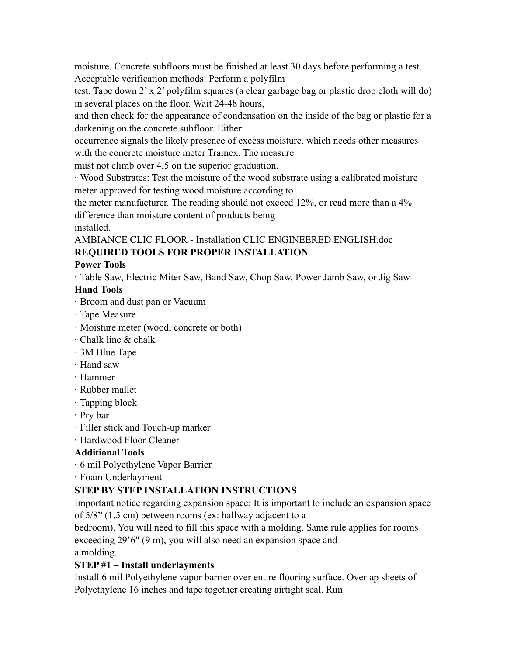moisture. Concrete subfloors must be finished at least 30 days before performing a test. Acceptable verification methods: Perform a polyfilm

test. Tape down 2' x 2' polyfilm squares (a clear garbage bag or plastic drop cloth will do) in several places on the floor. Wait 24-48 hours,

and then check for the appearance of condensation on the inside of the bag or plastic for a darkening on the concrete subfloor. Either

occurrence signals the likely presence of excess moisture, which needs other measures with the concrete moisture meter Tramex. The measure

must not climb over 4,5 on the superior graduation.

· Wood Substrates: Test the moisture of the wood substrate using a calibrated moisture meter approved for testing wood moisture according to

the meter manufacturer. The reading should not exceed 12%, or read more than a 4% difference than moisture content of products being

installed.

AMBIANCE CLIC FLOOR - Installation CLIC ENGINEERED ENGLISH.doc **REQUIRED TOOLS FOR PROPER INSTALLATION** 

### **Power Tools**

· Table Saw, Electric Miter Saw, Band Saw, Chop Saw, Power Jamb Saw, or Jig Saw

### **Hand Tools**

- · Broom and dust pan or Vacuum
- · Tape Measure
- · Moisture meter (wood, concrete or both)
- · Chalk line & chalk
- · 3M Blue Tape
- · Hand saw
- · Hammer
- · Rubber mallet
- · Tapping block
- · Pry bar
- · Filler stick and Touch-up marker
- · Hardwood Floor Cleaner

### **Additional Tools**

- · 6 mil Polyethylene Vapor Barrier
- · Foam Underlayment

## **STEP BY STEP INSTALLATION INSTRUCTIONS**

Important notice regarding expansion space: It is important to include an expansion space of 5/8" (1.5 cm) between rooms (ex: hallway adjacent to a

bedroom). You will need to fill this space with a molding. Same rule applies for rooms exceeding 29'6" (9 m), you will also need an expansion space and

a molding.

### **STEP #1 – Install underlayments**

Install 6 mil Polyethylene vapor barrier over entire flooring surface. Overlap sheets of Polyethylene 16 inches and tape together creating airtight seal. Run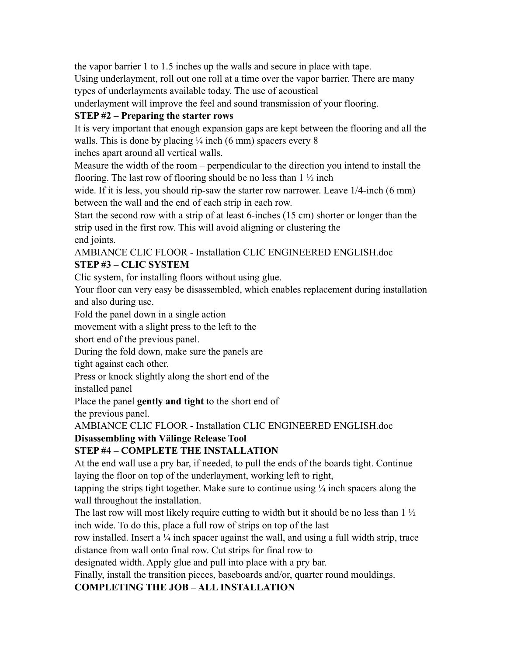the vapor barrier 1 to 1.5 inches up the walls and secure in place with tape. Using underlayment, roll out one roll at a time over the vapor barrier. There are many types of underlayments available today. The use of acoustical underlayment will improve the feel and sound transmission of your flooring.

### **STEP #2 – Preparing the starter rows**

It is very important that enough expansion gaps are kept between the flooring and all the walls. This is done by placing  $\frac{1}{4}$  inch (6 mm) spacers every 8

inches apart around all vertical walls.

Measure the width of the room – perpendicular to the direction you intend to install the flooring. The last row of flooring should be no less than  $1\frac{1}{2}$  inch

wide. If it is less, you should rip-saw the starter row narrower. Leave  $1/4$ -inch (6 mm) between the wall and the end of each strip in each row.

Start the second row with a strip of at least 6-inches (15 cm) shorter or longer than the strip used in the first row. This will avoid aligning or clustering the

end joints.

AMBIANCE CLIC FLOOR - Installation CLIC ENGINEERED ENGLISH.doc **STEP #3 – CLIC SYSTEM** 

Clic system, for installing floors without using glue.

Your floor can very easy be disassembled, which enables replacement during installation and also during use.

Fold the panel down in a single action

movement with a slight press to the left to the

short end of the previous panel.

During the fold down, make sure the panels are

tight against each other.

Press or knock slightly along the short end of the

installed panel

Place the panel **gently and tight** to the short end of

the previous panel.

AMBIANCE CLIC FLOOR - Installation CLIC ENGINEERED ENGLISH.doc

### **Disassembling with Välinge Release Tool**

### **STEP #4 – COMPLETE THE INSTALLATION**

At the end wall use a pry bar, if needed, to pull the ends of the boards tight. Continue laying the floor on top of the underlayment, working left to right,

tapping the strips tight together. Make sure to continue using  $\frac{1}{4}$  inch spacers along the wall throughout the installation.

The last row will most likely require cutting to width but it should be no less than  $1\frac{1}{2}$ inch wide. To do this, place a full row of strips on top of the last

row installed. Insert a  $\frac{1}{4}$  inch spacer against the wall, and using a full width strip, trace distance from wall onto final row. Cut strips for final row to

designated width. Apply glue and pull into place with a pry bar.

Finally, install the transition pieces, baseboards and/or, quarter round mouldings.

### **COMPLETING THE JOB – ALL INSTALLATION**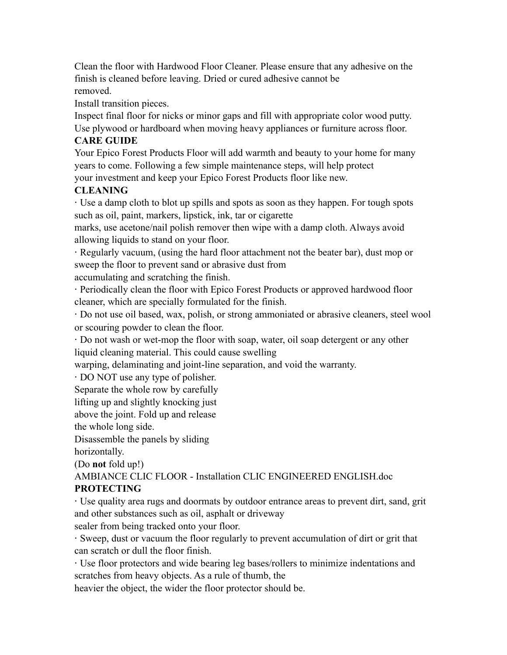Clean the floor with Hardwood Floor Cleaner. Please ensure that any adhesive on the finish is cleaned before leaving. Dried or cured adhesive cannot be removed.

Install transition pieces.

Inspect final floor for nicks or minor gaps and fill with appropriate color wood putty. Use plywood or hardboard when moving heavy appliances or furniture across floor.

### **CARE GUIDE**

Your Epico Forest Products Floor will add warmth and beauty to your home for many years to come. Following a few simple maintenance steps, will help protect your investment and keep your Epico Forest Products floor like new.

### **CLEANING**

· Use a damp cloth to blot up spills and spots as soon as they happen. For tough spots such as oil, paint, markers, lipstick, ink, tar or cigarette

marks, use acetone/nail polish remover then wipe with a damp cloth. Always avoid allowing liquids to stand on your floor.

· Regularly vacuum, (using the hard floor attachment not the beater bar), dust mop or sweep the floor to prevent sand or abrasive dust from

accumulating and scratching the finish.

· Periodically clean the floor with Epico Forest Products or approved hardwood floor cleaner, which are specially formulated for the finish.

· Do not use oil based, wax, polish, or strong ammoniated or abrasive cleaners, steel wool or scouring powder to clean the floor.

· Do not wash or wet-mop the floor with soap, water, oil soap detergent or any other liquid cleaning material. This could cause swelling

warping, delaminating and joint-line separation, and void the warranty.

· DO NOT use any type of polisher.

Separate the whole row by carefully

lifting up and slightly knocking just

above the joint. Fold up and release

the whole long side.

Disassemble the panels by sliding

horizontally.

(Do **not** fold up!)

AMBIANCE CLIC FLOOR - Installation CLIC ENGINEERED ENGLISH.doc **PROTECTING** 

· Use quality area rugs and doormats by outdoor entrance areas to prevent dirt, sand, grit and other substances such as oil, asphalt or driveway

sealer from being tracked onto your floor.

· Sweep, dust or vacuum the floor regularly to prevent accumulation of dirt or grit that can scratch or dull the floor finish.

· Use floor protectors and wide bearing leg bases/rollers to minimize indentations and scratches from heavy objects. As a rule of thumb, the

heavier the object, the wider the floor protector should be.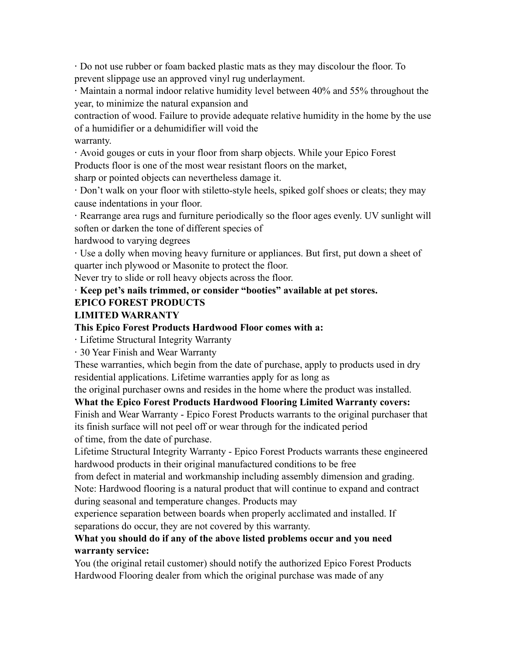· Do not use rubber or foam backed plastic mats as they may discolour the floor. To prevent slippage use an approved vinyl rug underlayment.

· Maintain a normal indoor relative humidity level between 40% and 55% throughout the year, to minimize the natural expansion and

contraction of wood. Failure to provide adequate relative humidity in the home by the use of a humidifier or a dehumidifier will void the

warranty.

· Avoid gouges or cuts in your floor from sharp objects. While your Epico Forest Products floor is one of the most wear resistant floors on the market,

sharp or pointed objects can nevertheless damage it.

· Don't walk on your floor with stiletto-style heels, spiked golf shoes or cleats; they may cause indentations in your floor.

· Rearrange area rugs and furniture periodically so the floor ages evenly. UV sunlight will soften or darken the tone of different species of

hardwood to varying degrees

· Use a dolly when moving heavy furniture or appliances. But first, put down a sheet of quarter inch plywood or Masonite to protect the floor.

Never try to slide or roll heavy objects across the floor.

### · **Keep pet's nails trimmed, or consider "booties" available at pet stores.**

#### **EPICO FOREST PRODUCTS**

#### **LIMITED WARRANTY**

#### **This Epico Forest Products Hardwood Floor comes with a:**

· Lifetime Structural Integrity Warranty

· 30 Year Finish and Wear Warranty

These warranties, which begin from the date of purchase, apply to products used in dry residential applications. Lifetime warranties apply for as long as

the original purchaser owns and resides in the home where the product was installed.

### **What the Epico Forest Products Hardwood Flooring Limited Warranty covers:**

Finish and Wear Warranty - Epico Forest Products warrants to the original purchaser that its finish surface will not peel off or wear through for the indicated period of time, from the date of purchase.

Lifetime Structural Integrity Warranty - Epico Forest Products warrants these engineered hardwood products in their original manufactured conditions to be free

from defect in material and workmanship including assembly dimension and grading. Note: Hardwood flooring is a natural product that will continue to expand and contract during seasonal and temperature changes. Products may

experience separation between boards when properly acclimated and installed. If separations do occur, they are not covered by this warranty.

### **What you should do if any of the above listed problems occur and you need warranty service:**

You (the original retail customer) should notify the authorized Epico Forest Products Hardwood Flooring dealer from which the original purchase was made of any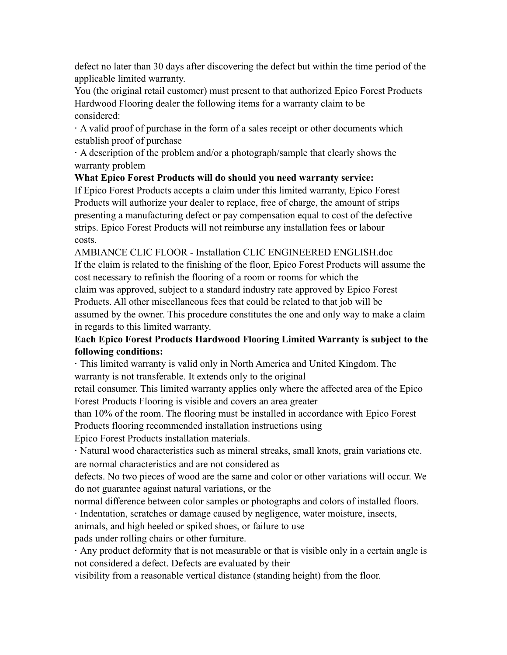defect no later than 30 days after discovering the defect but within the time period of the applicable limited warranty.

You (the original retail customer) must present to that authorized Epico Forest Products Hardwood Flooring dealer the following items for a warranty claim to be considered:

· A valid proof of purchase in the form of a sales receipt or other documents which establish proof of purchase

· A description of the problem and/or a photograph/sample that clearly shows the warranty problem

### **What Epico Forest Products will do should you need warranty service:**

If Epico Forest Products accepts a claim under this limited warranty, Epico Forest Products will authorize your dealer to replace, free of charge, the amount of strips presenting a manufacturing defect or pay compensation equal to cost of the defective strips. Epico Forest Products will not reimburse any installation fees or labour costs.

AMBIANCE CLIC FLOOR - Installation CLIC ENGINEERED ENGLISH.doc If the claim is related to the finishing of the floor, Epico Forest Products will assume the cost necessary to refinish the flooring of a room or rooms for which the claim was approved, subject to a standard industry rate approved by Epico Forest Products. All other miscellaneous fees that could be related to that job will be assumed by the owner. This procedure constitutes the one and only way to make a claim in regards to this limited warranty.

### **Each Epico Forest Products Hardwood Flooring Limited Warranty is subject to the following conditions:**

· This limited warranty is valid only in North America and United Kingdom. The warranty is not transferable. It extends only to the original

retail consumer. This limited warranty applies only where the affected area of the Epico Forest Products Flooring is visible and covers an area greater

than 10% of the room. The flooring must be installed in accordance with Epico Forest Products flooring recommended installation instructions using

Epico Forest Products installation materials.

· Natural wood characteristics such as mineral streaks, small knots, grain variations etc. are normal characteristics and are not considered as

defects. No two pieces of wood are the same and color or other variations will occur. We do not guarantee against natural variations, or the

normal difference between color samples or photographs and colors of installed floors.

· Indentation, scratches or damage caused by negligence, water moisture, insects,

animals, and high heeled or spiked shoes, or failure to use

pads under rolling chairs or other furniture.

· Any product deformity that is not measurable or that is visible only in a certain angle is not considered a defect. Defects are evaluated by their

visibility from a reasonable vertical distance (standing height) from the floor.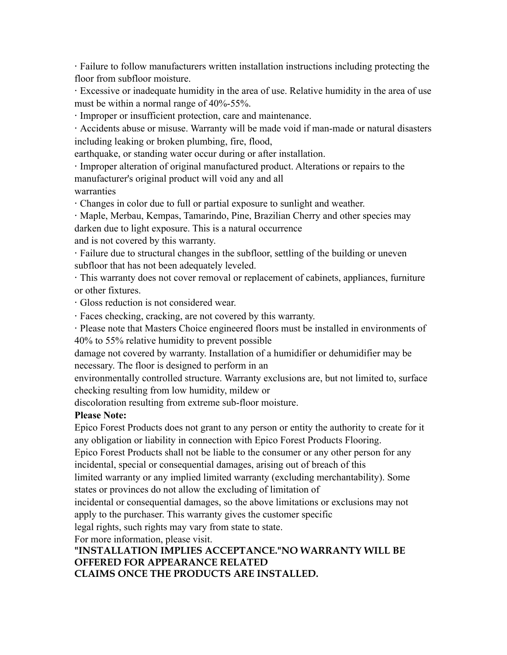· Failure to follow manufacturers written installation instructions including protecting the floor from subfloor moisture.

· Excessive or inadequate humidity in the area of use. Relative humidity in the area of use must be within a normal range of 40%-55%.

· Improper or insufficient protection, care and maintenance.

· Accidents abuse or misuse. Warranty will be made void if man-made or natural disasters including leaking or broken plumbing, fire, flood,

earthquake, or standing water occur during or after installation.

· Improper alteration of original manufactured product. Alterations or repairs to the manufacturer's original product will void any and all

warranties

· Changes in color due to full or partial exposure to sunlight and weather.

· Maple, Merbau, Kempas, Tamarindo, Pine, Brazilian Cherry and other species may darken due to light exposure. This is a natural occurrence

and is not covered by this warranty.

· Failure due to structural changes in the subfloor, settling of the building or uneven subfloor that has not been adequately leveled.

· This warranty does not cover removal or replacement of cabinets, appliances, furniture or other fixtures.

· Gloss reduction is not considered wear.

· Faces checking, cracking, are not covered by this warranty.

· Please note that Masters Choice engineered floors must be installed in environments of 40% to 55% relative humidity to prevent possible

damage not covered by warranty. Installation of a humidifier or dehumidifier may be necessary. The floor is designed to perform in an

environmentally controlled structure. Warranty exclusions are, but not limited to, surface checking resulting from low humidity, mildew or

discoloration resulting from extreme sub-floor moisture.

#### **Please Note:**

Epico Forest Products does not grant to any person or entity the authority to create for it any obligation or liability in connection with Epico Forest Products Flooring.

Epico Forest Products shall not be liable to the consumer or any other person for any incidental, special or consequential damages, arising out of breach of this

limited warranty or any implied limited warranty (excluding merchantability). Some states or provinces do not allow the excluding of limitation of

incidental or consequential damages, so the above limitations or exclusions may not apply to the purchaser. This warranty gives the customer specific

legal rights, such rights may vary from state to state.

For more information, please visit.

# **"INSTALLATION IMPLIES ACCEPTANCE."NO WARRANTY WILL BE OFFERED FOR APPEARANCE RELATED**

**CLAIMS ONCE THE PRODUCTS ARE INSTALLED.**